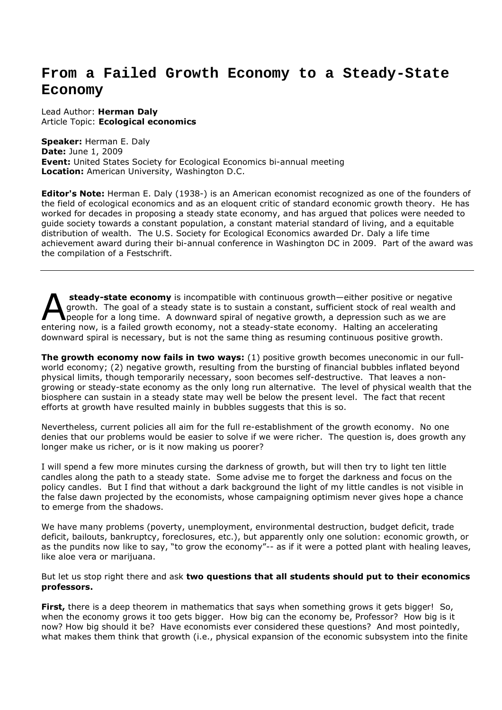## **From a Failed Growth Economy to a Steady-State Economy**

Lead Author: **Herman Daly** Article Topic: **Ecological economics** 

**Speaker:** Herman E. Daly **Date:** June 1, 2009 **Event:** United States Society for Ecological Economics bi-annual meeting **Location:** American University, Washington D.C.

**Editor's Note:** Herman E. Daly (1938-) is an American economist recognized as one of the founders of the field of ecological economics and as an eloquent critic of standard economic growth theory. He has worked for decades in proposing a steady state economy, and has argued that polices were needed to guide society towards a constant population, a constant material standard of living, and a equitable distribution of wealth. The U.S. Society for Ecological Economics awarded Dr. Daly a life time achievement award during their bi-annual conference in Washington DC in 2009. Part of the award was the compilation of a Festschrift.

 **steady-state economy** is incompatible with continuous growth—either positive or negative growth. The goal of a steady state is to sustain a constant, sufficient stock of real wealth and people for a long time. A downward spiral of negative growth, a depression such as we are **Steady-state economy** is incompatible with continuous growth—either positive or negat growth. The goal of a steady state is to sustain a constant, sufficient stock of real wealth people for a long time. A downward spiral downward spiral is necessary, but is not the same thing as resuming continuous positive growth.

**The growth economy now fails in two ways:** (1) positive growth becomes uneconomic in our fullworld economy; (2) negative growth, resulting from the bursting of financial bubbles inflated beyond physical limits, though temporarily necessary, soon becomes self-destructive. That leaves a nongrowing or steady-state economy as the only long run alternative. The level of physical wealth that the biosphere can sustain in a steady state may well be below the present level. The fact that recent efforts at growth have resulted mainly in bubbles suggests that this is so.

Nevertheless, current policies all aim for the full re-establishment of the growth economy. No one denies that our problems would be easier to solve if we were richer. The question is, does growth any longer make us richer, or is it now making us poorer?

I will spend a few more minutes cursing the darkness of growth, but will then try to light ten little candles along the path to a steady state. Some advise me to forget the darkness and focus on the policy candles. But I find that without a dark background the light of my little candles is not visible in the false dawn projected by the economists, whose campaigning optimism never gives hope a chance to emerge from the shadows.

We have many problems (poverty, unemployment, environmental destruction, budget deficit, trade deficit, bailouts, bankruptcy, foreclosures, etc.), but apparently only one solution: economic growth, or as the pundits now like to say, "to grow the economy"-- as if it were a potted plant with healing leaves, like aloe vera or marijuana.

But let us stop right there and ask **two questions that all students should put to their economics professors.** 

**First,** there is a deep theorem in mathematics that says when something grows it gets bigger! So, when the economy grows it too gets bigger. How big can the economy be, Professor? How big is it now? How big should it be? Have economists ever considered these questions? And most pointedly, what makes them think that growth (i.e., physical expansion of the economic subsystem into the finite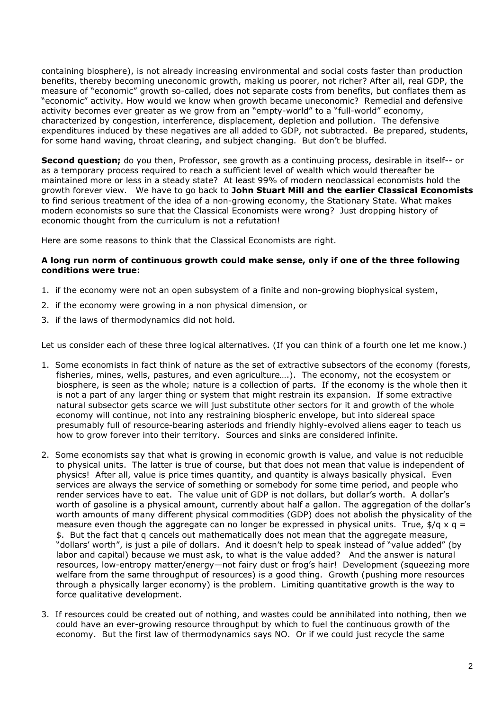containing biosphere), is not already increasing environmental and social costs faster than production benefits, thereby becoming uneconomic growth, making us poorer, not richer? After all, real GDP, the measure of "economic" growth so-called, does not separate costs from benefits, but conflates them as "economic" activity. How would we know when growth became uneconomic? Remedial and defensive activity becomes ever greater as we grow from an "empty-world" to a "full-world" economy, characterized by congestion, interference, displacement, depletion and pollution. The defensive expenditures induced by these negatives are all added to GDP, not subtracted. Be prepared, students, for some hand waving, throat clearing, and subject changing. But don't be bluffed.

**Second question;** do you then, Professor, see growth as a continuing process, desirable in itself-- or as a temporary process required to reach a sufficient level of wealth which would thereafter be maintained more or less in a steady state? At least 99% of modern neoclassical economists hold the growth forever view. We have to go back to **John Stuart Mill and the earlier Classical Economists** to find serious treatment of the idea of a non-growing economy, the Stationary State. What makes modern economists so sure that the Classical Economists were wrong? Just dropping history of economic thought from the curriculum is not a refutation!

Here are some reasons to think that the Classical Economists are right.

## **A long run norm of continuous growth could make sense, only if one of the three following conditions were true:**

- 1. if the economy were not an open subsystem of a finite and non-growing biophysical system,
- 2. if the economy were growing in a non physical dimension, or
- 3. if the laws of thermodynamics did not hold.

Let us consider each of these three logical alternatives. (If you can think of a fourth one let me know.)

- 1. Some economists in fact think of nature as the set of extractive subsectors of the economy (forests, fisheries, mines, wells, pastures, and even agriculture….). The economy, not the ecosystem or biosphere, is seen as the whole; nature is a collection of parts. If the economy is the whole then it is not a part of any larger thing or system that might restrain its expansion. If some extractive natural subsector gets scarce we will just substitute other sectors for it and growth of the whole economy will continue, not into any restraining biospheric envelope, but into sidereal space presumably full of resource-bearing asteriods and friendly highly-evolved aliens eager to teach us how to grow forever into their territory. Sources and sinks are considered infinite.
- 2. Some economists say that what is growing in economic growth is value, and value is not reducible to physical units. The latter is true of course, but that does not mean that value is independent of physics! After all, value is price times quantity, and quantity is always basically physical. Even services are always the service of something or somebody for some time period, and people who render services have to eat. The value unit of GDP is not dollars, but dollar's worth. A dollar's worth of gasoline is a physical amount, currently about half a gallon. The aggregation of the dollar's worth amounts of many different physical commodities (GDP) does not abolish the physicality of the measure even though the aggregate can no longer be expressed in physical units. True,  $\frac{4}{9}$  x g = \$. But the fact that q cancels out mathematically does not mean that the aggregate measure, "dollars' worth", is just a pile of dollars. And it doesn't help to speak instead of "value added" (by labor and capital) because we must ask, to what is the value added? And the answer is natural resources, low-entropy matter/energy—not fairy dust or frog's hair! Development (squeezing more welfare from the same throughput of resources) is a good thing. Growth (pushing more resources through a physically larger economy) is the problem. Limiting quantitative growth is the way to force qualitative development.
- 3. If resources could be created out of nothing, and wastes could be annihilated into nothing, then we could have an ever-growing resource throughput by which to fuel the continuous growth of the economy. But the first law of thermodynamics says NO. Or if we could just recycle the same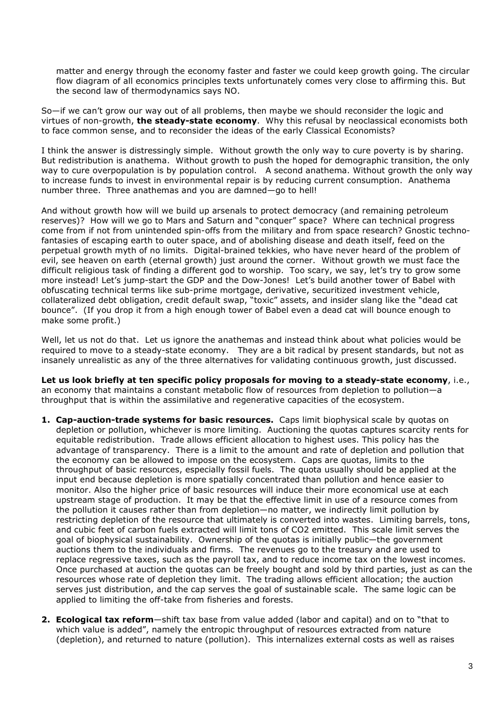matter and energy through the economy faster and faster we could keep growth going. The circular flow diagram of all economics principles texts unfortunately comes very close to affirming this. But the second law of thermodynamics says NO.

So—if we can't grow our way out of all problems, then maybe we should reconsider the logic and virtues of non-growth, **the steady-state economy**. Why this refusal by neoclassical economists both to face common sense, and to reconsider the ideas of the early Classical Economists?

I think the answer is distressingly simple. Without growth the only way to cure poverty is by sharing. But redistribution is anathema. Without growth to push the hoped for demographic transition, the only way to cure overpopulation is by population control. A second anathema. Without growth the only way to increase funds to invest in environmental repair is by reducing current consumption. Anathema number three. Three anathemas and you are damned—go to hell!

And without growth how will we build up arsenals to protect democracy (and remaining petroleum reserves)? How will we go to Mars and Saturn and "conquer" space? Where can technical progress come from if not from unintended spin-offs from the military and from space research? Gnostic technofantasies of escaping earth to outer space, and of abolishing disease and death itself, feed on the perpetual growth myth of no limits. Digital-brained tekkies, who have never heard of the problem of evil, see heaven on earth (eternal growth) just around the corner. Without growth we must face the difficult religious task of finding a different god to worship. Too scary, we say, let's try to grow some more instead! Let's jump-start the GDP and the Dow-Jones! Let's build another tower of Babel with obfuscating technical terms like sub-prime mortgage, derivative, securitized investment vehicle, collateralized debt obligation, credit default swap, "toxic" assets, and insider slang like the "dead cat bounce". (If you drop it from a high enough tower of Babel even a dead cat will bounce enough to make some profit.)

Well, let us not do that. Let us ignore the anathemas and instead think about what policies would be required to move to a steady-state economy. They are a bit radical by present standards, but not as insanely unrealistic as any of the three alternatives for validating continuous growth, just discussed.

**Let us look briefly at ten specific policy proposals for moving to a steady-state economy**, i.e., an economy that maintains a constant metabolic flow of resources from depletion to pollution—a throughput that is within the assimilative and regenerative capacities of the ecosystem.

- 1. Cap-auction-trade systems for basic resources. Caps limit biophysical scale by quotas on depletion or pollution, whichever is more limiting. Auctioning the quotas captures scarcity rents for equitable redistribution. Trade allows efficient allocation to highest uses. This policy has the advantage of transparency. There is a limit to the amount and rate of depletion and pollution that the economy can be allowed to impose on the ecosystem. Caps are quotas, limits to the throughput of basic resources, especially fossil fuels. The quota usually should be applied at the input end because depletion is more spatially concentrated than pollution and hence easier to monitor. Also the higher price of basic resources will induce their more economical use at each upstream stage of production. It may be that the effective limit in use of a resource comes from the pollution it causes rather than from depletion—no matter, we indirectly limit pollution by restricting depletion of the resource that ultimately is converted into wastes. Limiting barrels, tons, and cubic feet of carbon fuels extracted will limit tons of CO2 emitted. This scale limit serves the goal of biophysical sustainability. Ownership of the quotas is initially public—the government auctions them to the individuals and firms. The revenues go to the treasury and are used to replace regressive taxes, such as the payroll tax, and to reduce income tax on the lowest incomes. Once purchased at auction the quotas can be freely bought and sold by third parties, just as can the resources whose rate of depletion they limit. The trading allows efficient allocation; the auction serves just distribution, and the cap serves the goal of sustainable scale. The same logic can be applied to limiting the off-take from fisheries and forests.
- **2. Ecological tax reform**—shift tax base from value added (labor and capital) and on to "that to which value is added", namely the entropic throughput of resources extracted from nature (depletion), and returned to nature (pollution). This internalizes external costs as well as raises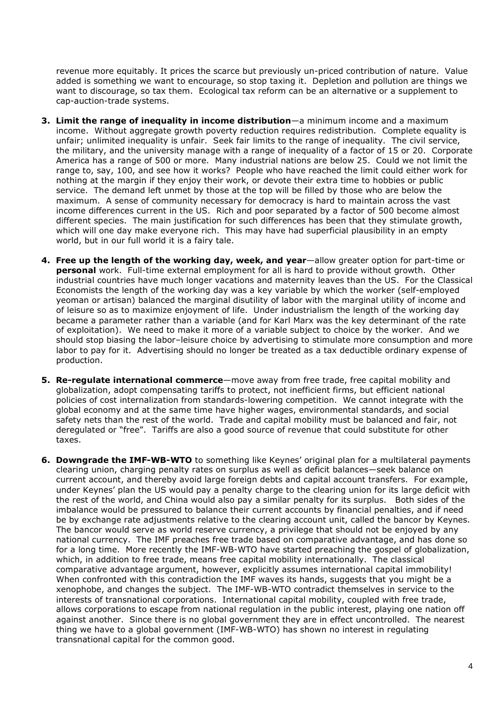revenue more equitably. It prices the scarce but previously un-priced contribution of nature. Value added is something we want to encourage, so stop taxing it. Depletion and pollution are things we want to discourage, so tax them. Ecological tax reform can be an alternative or a supplement to cap-auction-trade systems.

- **3. Limit the range of inequality in income distribution**—a minimum income and a maximum income. Without aggregate growth poverty reduction requires redistribution. Complete equality is unfair; unlimited inequality is unfair. Seek fair limits to the range of inequality. The civil service, the military, and the university manage with a range of inequality of a factor of 15 or 20. Corporate America has a range of 500 or more. Many industrial nations are below 25. Could we not limit the range to, say, 100, and see how it works? People who have reached the limit could either work for nothing at the margin if they enjoy their work, or devote their extra time to hobbies or public service. The demand left unmet by those at the top will be filled by those who are below the maximum. A sense of community necessary for democracy is hard to maintain across the vast income differences current in the US. Rich and poor separated by a factor of 500 become almost different species. The main justification for such differences has been that they stimulate growth, which will one day make everyone rich. This may have had superficial plausibility in an empty world, but in our full world it is a fairy tale.
- **4. Free up the length of the working day, week, and year**—allow greater option for part-time or **personal** work. Full-time external employment for all is hard to provide without growth. Other industrial countries have much longer vacations and maternity leaves than the US. For the Classical Economists the length of the working day was a key variable by which the worker (self-employed yeoman or artisan) balanced the marginal disutility of labor with the marginal utility of income and of leisure so as to maximize enjoyment of life. Under industrialism the length of the working day became a parameter rather than a variable (and for Karl Marx was the key determinant of the rate of exploitation). We need to make it more of a variable subject to choice by the worker. And we should stop biasing the labor–leisure choice by advertising to stimulate more consumption and more labor to pay for it. Advertising should no longer be treated as a tax deductible ordinary expense of production.
- **5. Re-regulate international commerce**—move away from free trade, free capital mobility and globalization, adopt compensating tariffs to protect, not inefficient firms, but efficient national policies of cost internalization from standards-lowering competition. We cannot integrate with the global economy and at the same time have higher wages, environmental standards, and social safety nets than the rest of the world. Trade and capital mobility must be balanced and fair, not deregulated or "free". Tariffs are also a good source of revenue that could substitute for other taxes.
- **6. Downgrade the IMF-WB-WTO** to something like Keynes' original plan for a multilateral payments clearing union, charging penalty rates on surplus as well as deficit balances—seek balance on current account, and thereby avoid large foreign debts and capital account transfers. For example, under Keynes' plan the US would pay a penalty charge to the clearing union for its large deficit with the rest of the world, and China would also pay a similar penalty for its surplus. Both sides of the imbalance would be pressured to balance their current accounts by financial penalties, and if need be by exchange rate adjustments relative to the clearing account unit, called the bancor by Keynes. The bancor would serve as world reserve currency, a privilege that should not be enjoyed by any national currency. The IMF preaches free trade based on comparative advantage, and has done so for a long time. More recently the IMF-WB-WTO have started preaching the gospel of globalization, which, in addition to free trade, means free capital mobility internationally. The classical comparative advantage argument, however, explicitly assumes international capital immobility! When confronted with this contradiction the IMF waves its hands, suggests that you might be a xenophobe, and changes the subject. The IMF-WB-WTO contradict themselves in service to the interests of transnational corporations. International capital mobility, coupled with free trade, allows corporations to escape from national regulation in the public interest, playing one nation off against another. Since there is no global government they are in effect uncontrolled. The nearest thing we have to a global government (IMF-WB-WTO) has shown no interest in regulating transnational capital for the common good.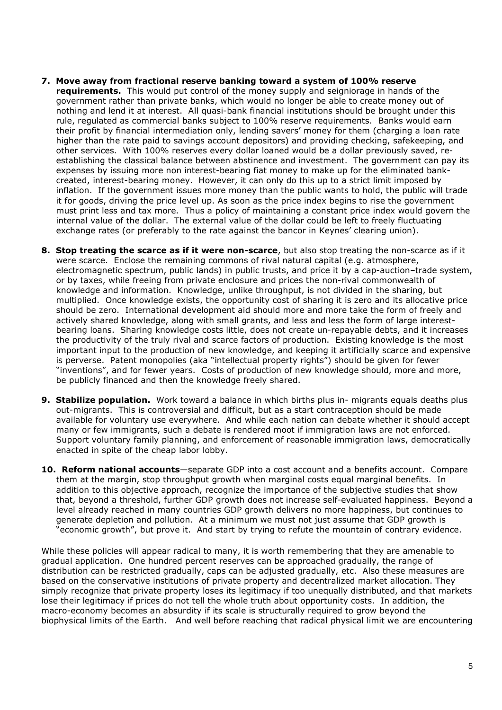- **7. Move away from fractional reserve banking toward a system of 100% reserve requirements.** This would put control of the money supply and seigniorage in hands of the government rather than private banks, which would no longer be able to create money out of nothing and lend it at interest. All quasi-bank financial institutions should be brought under this rule, regulated as commercial banks subject to 100% reserve requirements. Banks would earn their profit by financial intermediation only, lending savers' money for them (charging a loan rate higher than the rate paid to savings account depositors) and providing checking, safekeeping, and other services. With 100% reserves every dollar loaned would be a dollar previously saved, reestablishing the classical balance between abstinence and investment. The government can pay its expenses by issuing more non interest-bearing fiat money to make up for the eliminated bankcreated, interest-bearing money. However, it can only do this up to a strict limit imposed by inflation. If the government issues more money than the public wants to hold, the public will trade it for goods, driving the price level up. As soon as the price index begins to rise the government must print less and tax more. Thus a policy of maintaining a constant price index would govern the internal value of the dollar. The external value of the dollar could be left to freely fluctuating exchange rates (or preferably to the rate against the bancor in Keynes' clearing union).
- **8. Stop treating the scarce as if it were non-scarce**, but also stop treating the non-scarce as if it were scarce. Enclose the remaining commons of rival natural capital (e.g. atmosphere, electromagnetic spectrum, public lands) in public trusts, and price it by a cap-auction–trade system, or by taxes, while freeing from private enclosure and prices the non-rival commonwealth of knowledge and information. Knowledge, unlike throughput, is not divided in the sharing, but multiplied. Once knowledge exists, the opportunity cost of sharing it is zero and its allocative price should be zero. International development aid should more and more take the form of freely and actively shared knowledge, along with small grants, and less and less the form of large interestbearing loans. Sharing knowledge costs little, does not create un-repayable debts, and it increases the productivity of the truly rival and scarce factors of production. Existing knowledge is the most important input to the production of new knowledge, and keeping it artificially scarce and expensive is perverse. Patent monopolies (aka "intellectual property rights") should be given for fewer "inventions", and for fewer years. Costs of production of new knowledge should, more and more, be publicly financed and then the knowledge freely shared.
- **9. Stabilize population.** Work toward a balance in which births plus in- migrants equals deaths plus out-migrants. This is controversial and difficult, but as a start contraception should be made available for voluntary use everywhere. And while each nation can debate whether it should accept many or few immigrants, such a debate is rendered moot if immigration laws are not enforced. Support voluntary family planning, and enforcement of reasonable immigration laws, democratically enacted in spite of the cheap labor lobby.
- **10. Reform national accounts**—separate GDP into a cost account and a benefits account. Compare them at the margin, stop throughput growth when marginal costs equal marginal benefits. In addition to this objective approach, recognize the importance of the subjective studies that show that, beyond a threshold, further GDP growth does not increase self-evaluated happiness. Beyond a level already reached in many countries GDP growth delivers no more happiness, but continues to generate depletion and pollution. At a minimum we must not just assume that GDP growth is "economic growth", but prove it. And start by trying to refute the mountain of contrary evidence.

While these policies will appear radical to many, it is worth remembering that they are amenable to gradual application. One hundred percent reserves can be approached gradually, the range of distribution can be restricted gradually, caps can be adjusted gradually, etc. Also these measures are based on the conservative institutions of private property and decentralized market allocation. They simply recognize that private property loses its legitimacy if too unequally distributed, and that markets lose their legitimacy if prices do not tell the whole truth about opportunity costs. In addition, the macro-economy becomes an absurdity if its scale is structurally required to grow beyond the biophysical limits of the Earth. And well before reaching that radical physical limit we are encountering